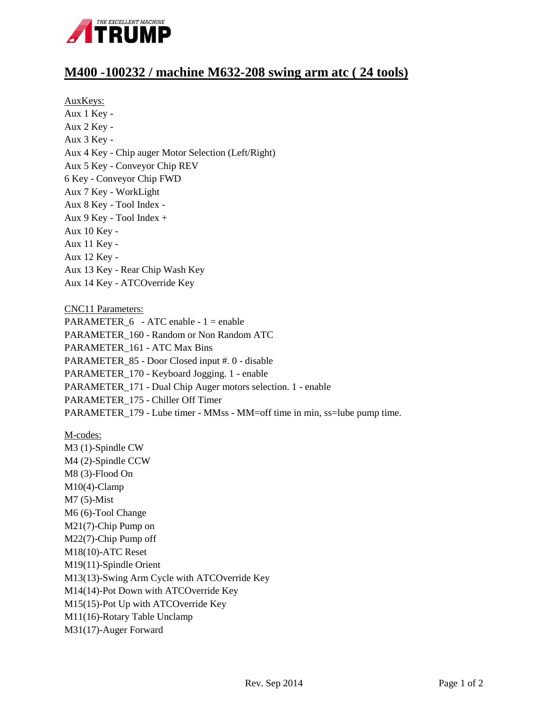

## **M400 -100232 / machine M632-208 swing arm atc ( 24 tools)**

AuxKeys:

Aux 1 Key - Aux 2 Key - Aux 3 Key - Aux 4 Key - Chip auger Motor Selection (Left/Right) Aux 5 Key - Conveyor Chip REV 6 Key - Conveyor Chip FWD Aux 7 Key - WorkLight Aux 8 Key - Tool Index - Aux 9 Key - Tool Index + Aux 10 Key - Aux 11 Key - Aux 12 Key - Aux 13 Key - Rear Chip Wash Key Aux 14 Key - ATCOverride Key

CNC11 Parameters: PARAMETER\_6 - ATC enable - 1 = enable PARAMETER\_160 - Random or Non Random ATC PARAMETER\_161 - ATC Max Bins PARAMETER\_85 - Door Closed input #. 0 - disable PARAMETER\_170 - Keyboard Jogging. 1 - enable PARAMETER\_171 - Dual Chip Auger motors selection. 1 - enable PARAMETER\_175 - Chiller Off Timer PARAMETER\_179 - Lube timer - MMss - MM=off time in min, ss=lube pump time.

M-codes: M3 (1)-Spindle CW M4 (2)-Spindle CCW M8 (3)-Flood On M10(4)-Clamp M7 (5)-Mist M6 (6)-Tool Change M21(7)-Chip Pump on M22(7)-Chip Pump off M18(10)-ATC Reset M19(11)-Spindle Orient M13(13)-Swing Arm Cycle with ATCOverride Key M14(14)-Pot Down with ATCOverride Key M15(15)-Pot Up with ATCOverride Key M11(16)-Rotary Table Unclamp M31(17)-Auger Forward